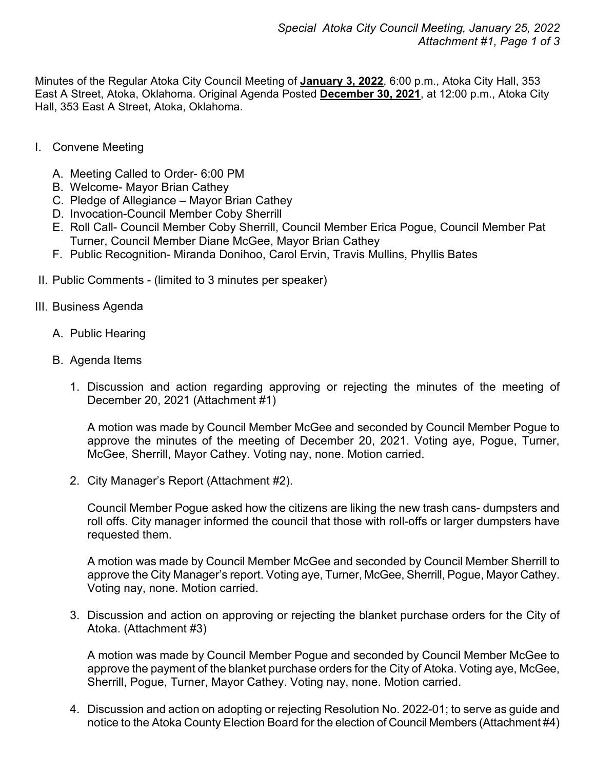Minutes of the Regular Atoka City Council Meeting of **January 3, 2022**, 6:00 p.m., Atoka City Hall, 353 East A Street, Atoka, Oklahoma. Original Agenda Posted **December 30, 2021**, at 12:00 p.m., Atoka City Hall, 353 East A Street, Atoka, Oklahoma.

- I. Convene Meeting
	- A. Meeting Called to Order- 6:00 PM
	- B. Welcome- Mayor Brian Cathey
	- C. Pledge of Allegiance Mayor Brian Cathey
	- D. Invocation-Council Member Coby Sherrill
	- E. Roll Call- Council Member Coby Sherrill, Council Member Erica Pogue, Council Member Pat Turner, Council Member Diane McGee, Mayor Brian Cathey
	- F. Public Recognition- Miranda Donihoo, Carol Ervin, Travis Mullins, Phyllis Bates
- II. Public Comments (limited to 3 minutes per speaker)
- III. Business Agenda
	- A. Public Hearing
	- B. Agenda Items
		- 1. Discussion and action regarding approving or rejecting the minutes of the meeting of December 20, 2021 (Attachment #1)

A motion was made by Council Member McGee and seconded by Council Member Pogue to approve the minutes of the meeting of December 20, 2021. Voting aye, Pogue, Turner, McGee, Sherrill, Mayor Cathey. Voting nay, none. Motion carried.

2. City Manager's Report (Attachment #2).

Council Member Pogue asked how the citizens are liking the new trash cans- dumpsters and roll offs. City manager informed the council that those with roll-offs or larger dumpsters have requested them.

A motion was made by Council Member McGee and seconded by Council Member Sherrill to approve the City Manager's report. Voting aye, Turner, McGee, Sherrill, Pogue, Mayor Cathey. Voting nay, none. Motion carried.

3. Discussion and action on approving or rejecting the blanket purchase orders for the City of Atoka. (Attachment #3)

A motion was made by Council Member Pogue and seconded by Council Member McGee to approve the payment of the blanket purchase orders for the City of Atoka. Voting aye, McGee, Sherrill, Pogue, Turner, Mayor Cathey. Voting nay, none. Motion carried.

4. Discussion and action on adopting or rejecting Resolution No. 2022-01; to serve as guide and notice to the Atoka County Election Board for the election of Council Members (Attachment #4)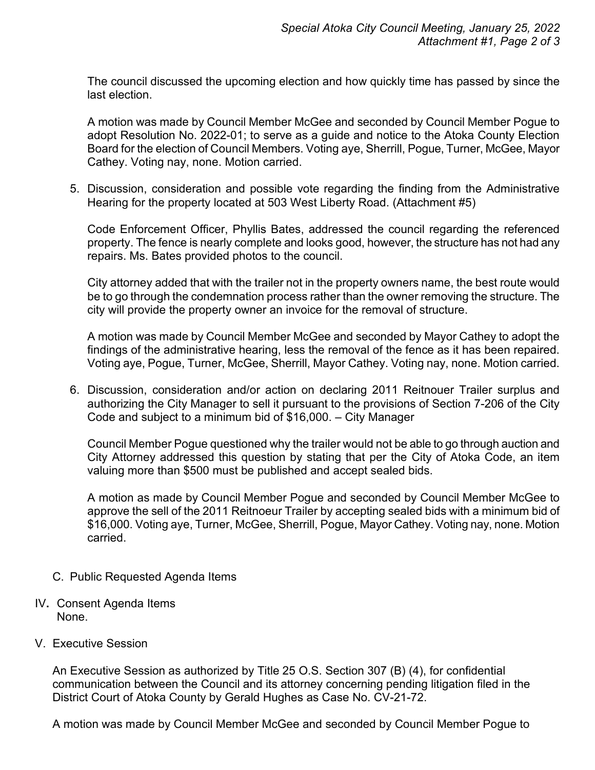The council discussed the upcoming election and how quickly time has passed by since the last election.

A motion was made by Council Member McGee and seconded by Council Member Pogue to adopt Resolution No. 2022-01; to serve as a guide and notice to the Atoka County Election Board for the election of Council Members. Voting aye, Sherrill, Pogue, Turner, McGee, Mayor Cathey. Voting nay, none. Motion carried.

5. Discussion, consideration and possible vote regarding the finding from the Administrative Hearing for the property located at 503 West Liberty Road. (Attachment #5)

Code Enforcement Officer, Phyllis Bates, addressed the council regarding the referenced property. The fence is nearly complete and looks good, however, the structure has not had any repairs. Ms. Bates provided photos to the council.

City attorney added that with the trailer not in the property owners name, the best route would be to go through the condemnation process rather than the owner removing the structure. The city will provide the property owner an invoice for the removal of structure.

A motion was made by Council Member McGee and seconded by Mayor Cathey to adopt the findings of the administrative hearing, less the removal of the fence as it has been repaired. Voting aye, Pogue, Turner, McGee, Sherrill, Mayor Cathey. Voting nay, none. Motion carried.

6. Discussion, consideration and/or action on declaring 2011 Reitnouer Trailer surplus and authorizing the City Manager to sell it pursuant to the provisions of Section 7-206 of the City Code and subject to a minimum bid of \$16,000. – City Manager

Council Member Pogue questioned why the trailer would not be able to go through auction and City Attorney addressed this question by stating that per the City of Atoka Code, an item valuing more than \$500 must be published and accept sealed bids.

A motion as made by Council Member Pogue and seconded by Council Member McGee to approve the sell of the 2011 Reitnoeur Trailer by accepting sealed bids with a minimum bid of \$16,000. Voting aye, Turner, McGee, Sherrill, Pogue, Mayor Cathey. Voting nay, none. Motion carried.

- C. Public Requested Agenda Items
- IV**.** Consent Agenda Items None.
- V. Executive Session

An Executive Session as authorized by Title 25 O.S. Section 307 (B) (4), for confidential communication between the Council and its attorney concerning pending litigation filed in the District Court of Atoka County by Gerald Hughes as Case No. CV-21-72.

A motion was made by Council Member McGee and seconded by Council Member Pogue to